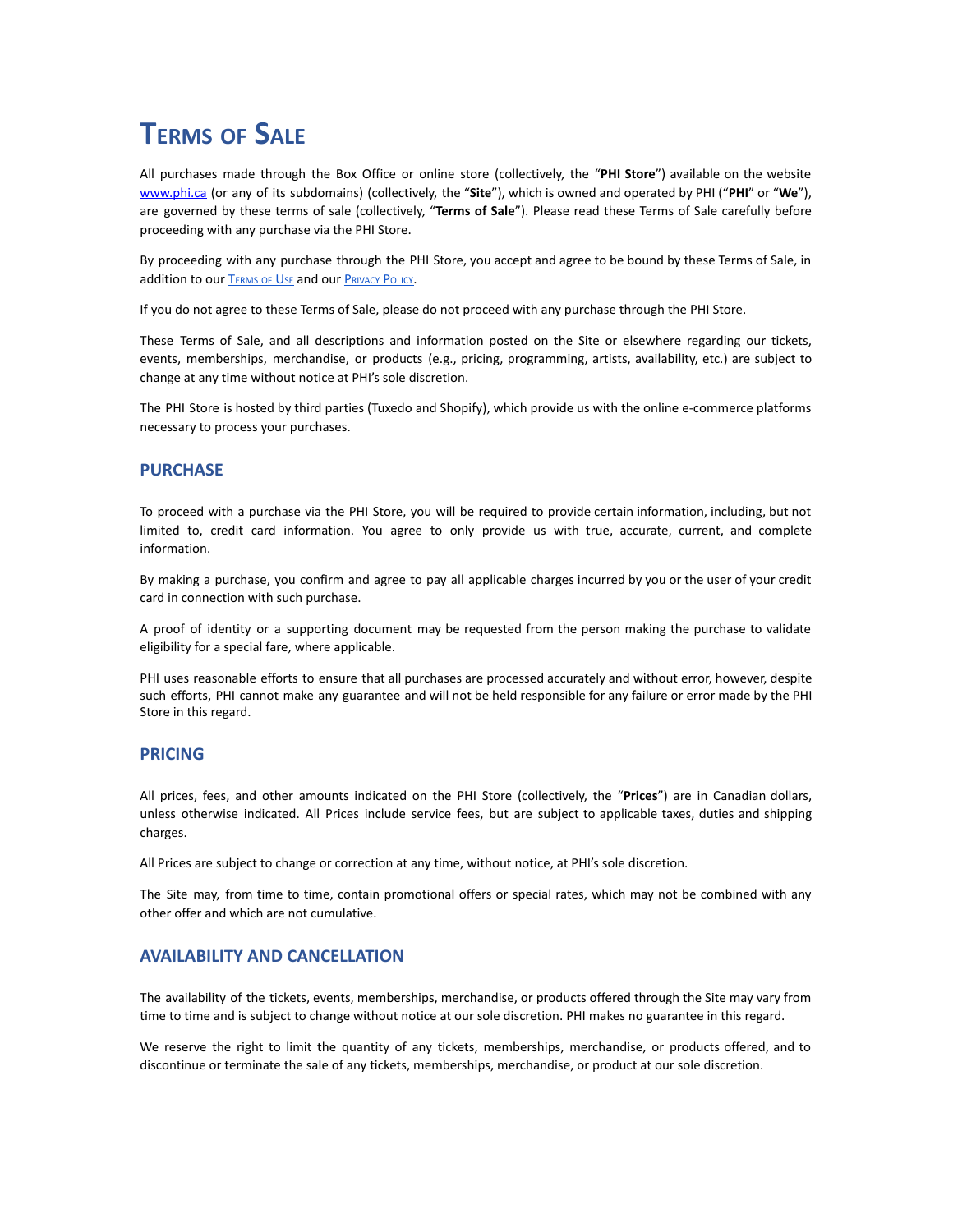# **TERMS OF SALE**

All purchases made through the Box Office or online store (collectively, the "**PHI Store**") available on the website [www.phi.ca](http://www.phi.ca) (or any of its subdomains) (collectively, the "**Site**"), which is owned and operated by PHI ("**PHI**" or "**We**"), are governed by these terms of sale (collectively, "**Terms of Sale**"). Please read these Terms of Sale carefully before proceeding with any purchase via the PHI Store.

By proceeding with any purchase through the PHI Store, you accept and agree to be bound by these Terms of Sale, in addition to our T[ERMS](https://phi.ca/en/terms-and-conditions/) OF USE and our P[RIVACY](https://phi.ca/en/data-protection-policy/) POLICY.

If you do not agree to these Terms of Sale, please do not proceed with any purchase through the PHI Store.

These Terms of Sale, and all descriptions and information posted on the Site or elsewhere regarding our tickets, events, memberships, merchandise, or products (e.g., pricing, programming, artists, availability, etc.) are subject to change at any time without notice at PHI's sole discretion.

The PHI Store is hosted by third parties (Tuxedo and Shopify), which provide us with the online e-commerce platforms necessary to process your purchases.

#### **PURCHASE**

To proceed with a purchase via the PHI Store, you will be required to provide certain information, including, but not limited to, credit card information. You agree to only provide us with true, accurate, current, and complete information.

By making a purchase, you confirm and agree to pay all applicable charges incurred by you or the user of your credit card in connection with such purchase.

A proof of identity or a supporting document may be requested from the person making the purchase to validate eligibility for a special fare, where applicable.

PHI uses reasonable efforts to ensure that all purchases are processed accurately and without error, however, despite such efforts, PHI cannot make any guarantee and will not be held responsible for any failure or error made by the PHI Store in this regard.

#### **PRICING**

All prices, fees, and other amounts indicated on the PHI Store (collectively, the "**Prices**") are in Canadian dollars, unless otherwise indicated. All Prices include service fees, but are subject to applicable taxes, duties and shipping charges.

All Prices are subject to change or correction at any time, without notice, at PHI's sole discretion.

The Site may, from time to time, contain promotional offers or special rates, which may not be combined with any other offer and which are not cumulative.

# **AVAILABILITY AND CANCELLATION**

The availability of the tickets, events, memberships, merchandise, or products offered through the Site may vary from time to time and is subject to change without notice at our sole discretion. PHI makes no guarantee in this regard.

We reserve the right to limit the quantity of any tickets, memberships, merchandise, or products offered, and to discontinue or terminate the sale of any tickets, memberships, merchandise, or product at our sole discretion.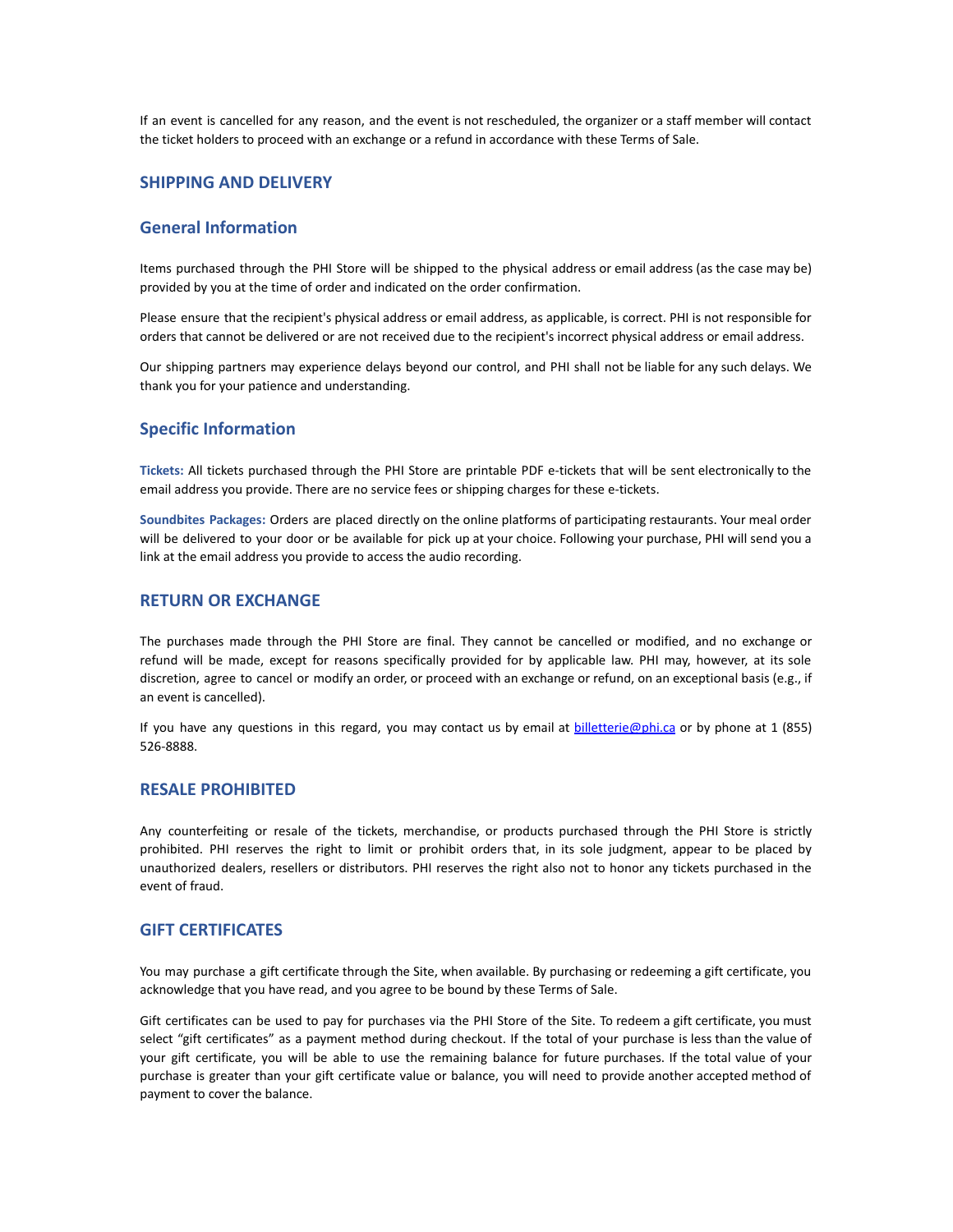If an event is cancelled for any reason, and the event is not rescheduled, the organizer or a staff member will contact the ticket holders to proceed with an exchange or a refund in accordance with these Terms of Sale.

# **SHIPPING AND DELIVERY**

# **General Information**

Items purchased through the PHI Store will be shipped to the physical address or email address (as the case may be) provided by you at the time of order and indicated on the order confirmation.

Please ensure that the recipient's physical address or email address, as applicable, is correct. PHI is not responsible for orders that cannot be delivered or are not received due to the recipient's incorrect physical address or email address.

Our shipping partners may experience delays beyond our control, and PHI shall not be liable for any such delays. We thank you for your patience and understanding.

#### **Specific Information**

**Tickets:** All tickets purchased through the PHI Store are printable PDF e-tickets that will be sent electronically to the email address you provide. There are no service fees or shipping charges for these e-tickets.

**Soundbites Packages:** Orders are placed directly on the online platforms of participating restaurants. Your meal order will be delivered to your door or be available for pick up at your choice. Following your purchase, PHI will send you a link at the email address you provide to access the audio recording.

#### **RETURN OR EXCHANGE**

The purchases made through the PHI Store are final. They cannot be cancelled or modified, and no exchange or refund will be made, except for reasons specifically provided for by applicable law. PHI may, however, at its sole discretion, agree to cancel or modify an order, or proceed with an exchange or refund, on an exceptional basis (e.g., if an event is cancelled).

If you have any questions in this regard, you may contact us by email at [billetterie@phi.ca](mailto:billetterie@phi.ca) or by phone at 1 (855) 526-8888.

### **RESALE PROHIBITED**

Any counterfeiting or resale of the tickets, merchandise, or products purchased through the PHI Store is strictly prohibited. PHI reserves the right to limit or prohibit orders that, in its sole judgment, appear to be placed by unauthorized dealers, resellers or distributors. PHI reserves the right also not to honor any tickets purchased in the event of fraud.

#### **GIFT CERTIFICATES**

You may purchase a gift certificate through the Site, when available. By purchasing or redeeming a gift certificate, you acknowledge that you have read, and you agree to be bound by these Terms of Sale.

Gift certificates can be used to pay for purchases via the PHI Store of the Site. To redeem a gift certificate, you must select "gift certificates" as a payment method during checkout. If the total of your purchase is less than the value of your gift certificate, you will be able to use the remaining balance for future purchases. If the total value of your purchase is greater than your gift certificate value or balance, you will need to provide another accepted method of payment to cover the balance.